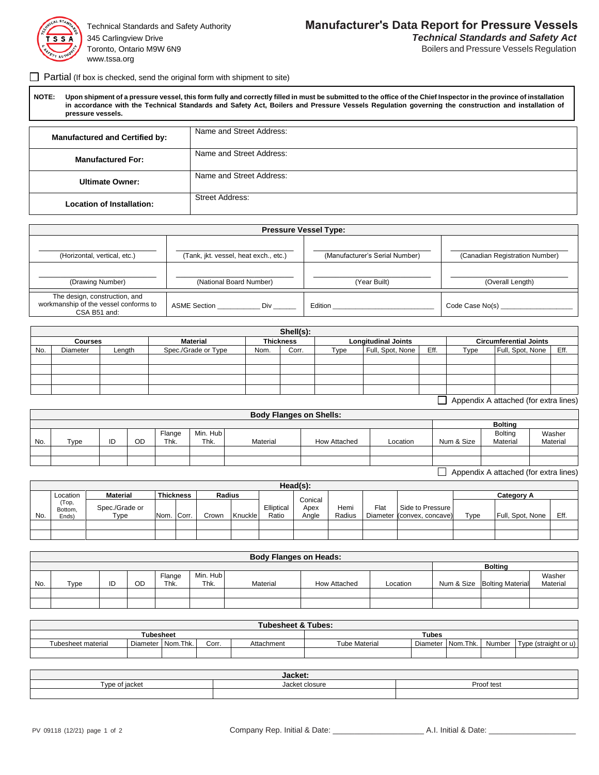

Toronto, Ontario M9W 6N9 **Boilers** and Pressure Vessels Regulation www.tssa.org

 $\Box$  Partial (If box is checked, send the original form with shipment to site)

 **NOTE: Upon shipment of a pressure vessel, this form fully and correctly filled in must be submitted to the office of the Chief Inspector in the province of installation in accordance with the Technical Standards and Safety Act, Boilers and Pressure Vessels Regulation governing the construction and installation of pressure vessels.**

| <b>Manufactured and Certified by:</b> | Name and Street Address: |
|---------------------------------------|--------------------------|
|                                       | Name and Street Address: |
| <b>Manufactured For:</b>              |                          |
| <b>Ultimate Owner:</b>                | Name and Street Address: |
| <b>Location of Installation:</b>      | <b>Street Address:</b>   |

|                                                                                        |                                       | <b>Pressure Vessel Type:</b>   |                                |
|----------------------------------------------------------------------------------------|---------------------------------------|--------------------------------|--------------------------------|
| (Horizontal, vertical, etc.)                                                           | (Tank, jkt. vessel, heat exch., etc.) | (Manufacturer's Serial Number) | (Canadian Registration Number) |
| (Drawing Number)                                                                       | (National Board Number)               | (Year Built)                   | (Overall Length)               |
| The design, construction, and<br>workmanship of the vessel conforms to<br>CSA B51 and: | ASME Section<br>Div                   | Edition                        | Code Case No(s)                |

|     |                |        |                     |      | Shell(s):        |      |                            |                          |      |                               |      |
|-----|----------------|--------|---------------------|------|------------------|------|----------------------------|--------------------------|------|-------------------------------|------|
|     | <b>Courses</b> |        | <b>Material</b>     |      | <b>Thickness</b> |      | <b>Longitudinal Joints</b> |                          |      | <b>Circumferential Joints</b> |      |
| No. | Diameter       | Length | Spec./Grade or Type | Nom. | Corr.            | Type | Full, Spot, None           | Eff.                     | Type | Full, Spot, None              | Eff. |
|     |                |        |                     |      |                  |      |                            |                          |      |                               |      |
|     |                |        |                     |      |                  |      |                            |                          |      |                               |      |
|     |                |        |                     |      |                  |      |                            |                          |      |                               |      |
|     |                |        |                     |      |                  |      |                            |                          |      |                               |      |
|     |                |        |                     |      |                  |      |                            | $\overline{\phantom{0}}$ |      |                               |      |

Appendix A attached (for extra lines)

|     |      |    |    |        |          | <b>Body Flanges on Shells:</b> |              |          |            |                |                                       |
|-----|------|----|----|--------|----------|--------------------------------|--------------|----------|------------|----------------|---------------------------------------|
|     |      |    |    |        |          |                                |              |          |            | <b>Bolting</b> |                                       |
|     |      |    |    | Flange | Min. Hub |                                |              |          |            | <b>Bolting</b> | Washer                                |
| No. | Type | ID | OD | Thk.   | Thk.     | Material                       | How Attached | Location | Num & Size | Material       | Material                              |
|     |      |    |    |        |          |                                |              |          |            |                |                                       |
|     |      |    |    |        |          |                                |              |          |            |                |                                       |
|     |      |    |    |        |          |                                |              |          |            |                | Appendix A attached (for extra lines) |

|     |                           |                        |      |                  |               |         |                     | Head(s):      |                |      |                                                |      |                  |      |
|-----|---------------------------|------------------------|------|------------------|---------------|---------|---------------------|---------------|----------------|------|------------------------------------------------|------|------------------|------|
|     | Location                  | <b>Material</b>        |      | <b>Thickness</b> | <b>Radius</b> |         |                     | Conical       |                |      |                                                |      | Category A       |      |
| No. | (Top,<br>Bottom,<br>Ends) | Spec./Grade or<br>туре | Nom. | . Corr.          | Crown         | Knuckle | Elliptical<br>Ratio | Apex<br>Angle | Hemi<br>Radius | Flat | Side to Pressure<br>Diameter (convex, concave) | Type | Full, Spot, None | Eff. |
|     |                           |                        |      |                  |               |         |                     |               |                |      |                                                |      |                  |      |
|     |                           |                        |      |                  |               |         |                     |               |                |      |                                                |      |                  |      |

|     |      |    |                |                  | <b>Body Flanges on Heads:</b> |              |          |                             |                    |
|-----|------|----|----------------|------------------|-------------------------------|--------------|----------|-----------------------------|--------------------|
|     |      |    |                |                  |                               |              |          | <b>Bolting</b>              |                    |
| No. | Type | OD | Flange<br>Thk. | Min. Hub<br>Thk. | Material                      | How Attached | Location | Num & Size Bolting Material | Washer<br>Material |
|     |      |    |                |                  |                               |              |          |                             |                    |
|     |      |    |                |                  |                               |              |          |                             |                    |

|                           |               |      |       | <b>Tubesheet &amp; Tubes:</b> |                      |              |                    |        |                      |
|---------------------------|---------------|------|-------|-------------------------------|----------------------|--------------|--------------------|--------|----------------------|
|                           | Tubesheet     |      |       |                               |                      | <b>Tubes</b> |                    |        |                      |
| <b>Tubesheet material</b> | Diameter Nom. | Thk. | Corr. | Attachment                    | <b>Tube Material</b> |              | Diameter Nom. Thk. | Number | Type (straight or u) |
|                           |               |      |       |                               |                      |              |                    |        |                      |

|                   | Jacket.                                    |              |
|-------------------|--------------------------------------------|--------------|
| 1/2<br>$-11$<br>. | $-1$<br><sup>t</sup> closure<br>.171.<br>. | Proof<br>tes |
|                   |                                            |              |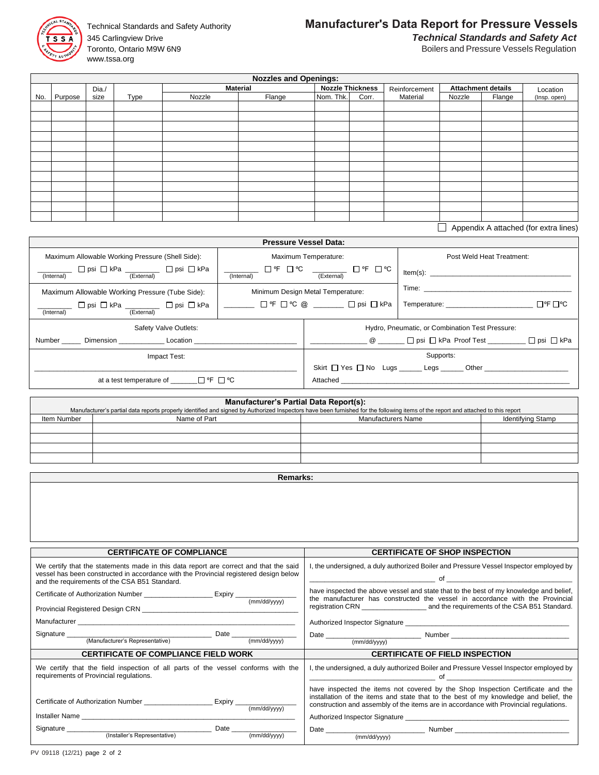

345 Carlingview Drive *Technical Standards and Safety Act* Toronto, Ontario M9W 6N9 **Boilers** and Pressure Vessels Regulation www.tssa.org

## Technical Standards and Safety Authority **Manufacturer's Data Report for Pressure Vessels**

|     |         |       |      |        | <b>Nozzles and Openings:</b> |                         |       |               |        |                           |              |
|-----|---------|-------|------|--------|------------------------------|-------------------------|-------|---------------|--------|---------------------------|--------------|
|     |         | Dia./ |      |        | <b>Material</b>              | <b>Nozzle Thickness</b> |       | Reinforcement |        | <b>Attachment details</b> | Location     |
| No. | Purpose | size  | Type | Nozzle | Flange                       | Nom. Thk.               | Corr. | Material      | Nozzle | Flange                    | (Insp. open) |
|     |         |       |      |        |                              |                         |       |               |        |                           |              |
|     |         |       |      |        |                              |                         |       |               |        |                           |              |
|     |         |       |      |        |                              |                         |       |               |        |                           |              |
|     |         |       |      |        |                              |                         |       |               |        |                           |              |
|     |         |       |      |        |                              |                         |       |               |        |                           |              |
|     |         |       |      |        |                              |                         |       |               |        |                           |              |
|     |         |       |      |        |                              |                         |       |               |        |                           |              |
|     |         |       |      |        |                              |                         |       |               |        |                           |              |
|     |         |       |      |        |                              |                         |       |               |        |                           |              |
|     |         |       |      |        |                              |                         |       |               |        |                           |              |
|     |         |       |      |        |                              |                         |       |               |        |                           |              |
|     |         |       |      |        |                              |                         |       |               |        |                           |              |

Appendix A attached (for extra lines)

|                                                                      |            | <b>Pressure Vessel Data:</b>        |                                                 |
|----------------------------------------------------------------------|------------|-------------------------------------|-------------------------------------------------|
| Maximum Allowable Working Pressure (Shell Side):                     |            | Maximum Temperature:                | Post Weld Heat Treatment:                       |
| □ psi □ kPa _________ □ psi □ kPa<br>(Internal)<br>(External)        | (Internal) | □ ℉ □ ℃<br>(External)               | $Item(s)$ :                                     |
| Maximum Allowable Working Pressure (Tube Side):                      |            | Minimum Design Metal Temperature:   |                                                 |
| □ psi □ kPa ________ □ psi □ kPa  <br>(Internal)<br>(External)       |            | ______ □ F □ ℃ @ ______ □ psi □ kPa | O°F □°C                                         |
| Safety Valve Outlets:                                                |            |                                     | Hydro, Pneumatic, or Combination Test Pressure: |
| Number Dimension Location                                            |            |                                     |                                                 |
| Impact Test:                                                         |            |                                     | Supports:                                       |
|                                                                      |            |                                     | Skirt Yes No Lugs Legs _______ Other            |
| at a test temperature of $\Box$ <sup>o</sup> f $\Box$ <sup>o</sup> C |            |                                     |                                                 |

## **Manufacturer's Partial Data Report(s):**

|             | Manufacturer's partial data reports properly identified and signed by Authorized Inspectors have been furnished for the following items of the report and attached to this report |                           |                   |
|-------------|-----------------------------------------------------------------------------------------------------------------------------------------------------------------------------------|---------------------------|-------------------|
| Item Number | Name of Part                                                                                                                                                                      | <b>Manufacturers Name</b> | Identifying Stamp |
|             |                                                                                                                                                                                   |                           |                   |
|             |                                                                                                                                                                                   |                           |                   |
|             |                                                                                                                                                                                   |                           |                   |
|             |                                                                                                                                                                                   |                           |                   |
|             |                                                                                                                                                                                   |                           |                   |

**Remarks:**

| <b>CERTIFICATE OF COMPLIANCE</b>                                                                                                                                                                                                | <b>CERTIFICATE OF SHOP INSPECTION</b>                                                                                                                                                                                                                                                                                                                                                              |
|---------------------------------------------------------------------------------------------------------------------------------------------------------------------------------------------------------------------------------|----------------------------------------------------------------------------------------------------------------------------------------------------------------------------------------------------------------------------------------------------------------------------------------------------------------------------------------------------------------------------------------------------|
| We certify that the statements made in this data report are correct and that the said<br>vessel has been constructed in accordance with the Provincial registered design below<br>and the requirements of the CSA B51 Standard. | , the undersigned, a duly authorized Boiler and Pressure Vessel Inspector employed by                                                                                                                                                                                                                                                                                                              |
| Certificate of Authorization Number _______________________Expiry _______________                                                                                                                                               | have inspected the above vessel and state that to the best of my knowledge and belief,<br>the manufacturer has constructed the vessel in accordance with the Provincial                                                                                                                                                                                                                            |
|                                                                                                                                                                                                                                 |                                                                                                                                                                                                                                                                                                                                                                                                    |
|                                                                                                                                                                                                                                 |                                                                                                                                                                                                                                                                                                                                                                                                    |
|                                                                                                                                                                                                                                 |                                                                                                                                                                                                                                                                                                                                                                                                    |
|                                                                                                                                                                                                                                 |                                                                                                                                                                                                                                                                                                                                                                                                    |
|                                                                                                                                                                                                                                 |                                                                                                                                                                                                                                                                                                                                                                                                    |
| <b>CERTIFICATE OF COMPLIANCE FIELD WORK</b>                                                                                                                                                                                     | <b>CERTIFICATE OF FIELD INSPECTION</b>                                                                                                                                                                                                                                                                                                                                                             |
| We certify that the field inspection of all parts of the vessel conforms with the<br>requirements of Provincial regulations.                                                                                                    | I, the undersigned, a duly authorized Boiler and Pressure Vessel Inspector employed by<br>$\circ$ of $\circ$ and $\circ$ and $\circ$ and $\circ$ and $\circ$ and $\circ$ and $\circ$ and $\circ$ and $\circ$ and $\circ$ and $\circ$ and $\circ$ and $\circ$ and $\circ$ and $\circ$ and $\circ$ and $\circ$ and $\circ$ and $\circ$ and $\circ$ and $\circ$ and $\circ$ and $\circ$ and $\circ$ a |
| Certificate of Authorization Number ______________________ Expiry ______________<br>(mm/dd/yyyy)                                                                                                                                | have inspected the items not covered by the Shop Inspection Certificate and the<br>installation of the items and state that to the best of my knowledge and belief, the<br>construction and assembly of the items are in accordance with Provincial regulations.                                                                                                                                   |
|                                                                                                                                                                                                                                 |                                                                                                                                                                                                                                                                                                                                                                                                    |
| (Installer's Representative)<br>(mm/dd/yyyy)                                                                                                                                                                                    | (mm/dd/yyyy)                                                                                                                                                                                                                                                                                                                                                                                       |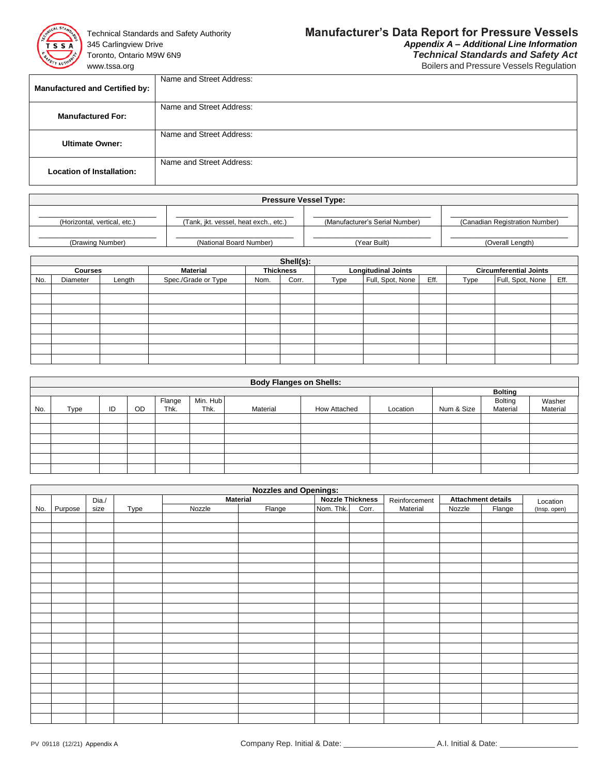

Toronto, Ontario M9W 6N9 *Technical Standards and Safety Act*

## Technical Standards and Safety Authority **Manufacturer's Data Report for Pressure Vessels** 345 Carlingview Drive *Appendix A – Additional Line Information*

www.tssa.org **Boilers and Pressure Vessels Regulation** 

| <b>Manufactured and Certified by:</b> | Name and Street Address: |
|---------------------------------------|--------------------------|
| <b>Manufactured For:</b>              | Name and Street Address: |
| <b>Ultimate Owner:</b>                | Name and Street Address: |
| <b>Location of Installation:</b>      | Name and Street Address: |

| <b>Pressure Vessel Type:</b> |                                       |                                |                                |  |  |  |  |  |
|------------------------------|---------------------------------------|--------------------------------|--------------------------------|--|--|--|--|--|
| (Horizontal, vertical, etc.) | (Tank, jkt. vessel, heat exch., etc.) | (Manufacturer's Serial Number) | (Canadian Registration Number) |  |  |  |  |  |
| (Drawing Number)             | (National Board Number)               | (Year Built)                   | (Overall Length)               |  |  |  |  |  |

|                | Shell(s): |        |                     |                  |       |      |                            |      |                               |                  |      |  |
|----------------|-----------|--------|---------------------|------------------|-------|------|----------------------------|------|-------------------------------|------------------|------|--|
| <b>Courses</b> |           |        | <b>Material</b>     | <b>Thickness</b> |       |      | <b>Longitudinal Joints</b> |      | <b>Circumferential Joints</b> |                  |      |  |
| No.            | Diameter  | Length | Spec./Grade or Type | Nom.             | Corr. | Type | Full, Spot, None           | Eff. | Type                          | Full, Spot, None | Eff. |  |
|                |           |        |                     |                  |       |      |                            |      |                               |                  |      |  |
|                |           |        |                     |                  |       |      |                            |      |                               |                  |      |  |
|                |           |        |                     |                  |       |      |                            |      |                               |                  |      |  |
|                |           |        |                     |                  |       |      |                            |      |                               |                  |      |  |
|                |           |        |                     |                  |       |      |                            |      |                               |                  |      |  |
|                |           |        |                     |                  |       |      |                            |      |                               |                  |      |  |
|                |           |        |                     |                  |       |      |                            |      |                               |                  |      |  |
|                |           |        |                     |                  |       |      |                            |      |                               |                  |      |  |

|     | <b>Body Flanges on Shells:</b> |    |           |                |                  |          |              |          |            |                            |                    |  |  |
|-----|--------------------------------|----|-----------|----------------|------------------|----------|--------------|----------|------------|----------------------------|--------------------|--|--|
|     |                                |    |           |                |                  |          |              |          |            | <b>Bolting</b>             |                    |  |  |
| No. | <b>Type</b>                    | ID | <b>OD</b> | Flange<br>Thk. | Min. Hub<br>Thk. | Material | How Attached | Location | Num & Size | <b>Bolting</b><br>Material | Washer<br>Material |  |  |
|     |                                |    |           |                |                  |          |              |          |            |                            |                    |  |  |
|     |                                |    |           |                |                  |          |              |          |            |                            |                    |  |  |
|     |                                |    |           |                |                  |          |              |          |            |                            |                    |  |  |
|     |                                |    |           |                |                  |          |              |          |            |                            |                    |  |  |
|     |                                |    |           |                |                  |          |              |          |            |                            |                    |  |  |
|     |                                |    |           |                |                  |          |              |          |            |                            |                    |  |  |

|     | <b>Nozzles and Openings:</b> |       |      |                 |        |                                          |       |          |                           |          |              |
|-----|------------------------------|-------|------|-----------------|--------|------------------------------------------|-------|----------|---------------------------|----------|--------------|
|     |                              | Dia./ |      | <b>Material</b> |        | <b>Nozzle Thickness</b><br>Reinforcement |       |          | <b>Attachment details</b> | Location |              |
| No. | Purpose                      | size  | Type | Nozzle          | Flange | Nom. Thk.                                | Corr. | Material | Nozzle                    | Flange   | (Insp. open) |
|     |                              |       |      |                 |        |                                          |       |          |                           |          |              |
|     |                              |       |      |                 |        |                                          |       |          |                           |          |              |
|     |                              |       |      |                 |        |                                          |       |          |                           |          |              |
|     |                              |       |      |                 |        |                                          |       |          |                           |          |              |
|     |                              |       |      |                 |        |                                          |       |          |                           |          |              |
|     |                              |       |      |                 |        |                                          |       |          |                           |          |              |
|     |                              |       |      |                 |        |                                          |       |          |                           |          |              |
|     |                              |       |      |                 |        |                                          |       |          |                           |          |              |
|     |                              |       |      |                 |        |                                          |       |          |                           |          |              |
|     |                              |       |      |                 |        |                                          |       |          |                           |          |              |
|     |                              |       |      |                 |        |                                          |       |          |                           |          |              |
|     |                              |       |      |                 |        |                                          |       |          |                           |          |              |
|     |                              |       |      |                 |        |                                          |       |          |                           |          |              |
|     |                              |       |      |                 |        |                                          |       |          |                           |          |              |
|     |                              |       |      |                 |        |                                          |       |          |                           |          |              |
|     |                              |       |      |                 |        |                                          |       |          |                           |          |              |
|     |                              |       |      |                 |        |                                          |       |          |                           |          |              |
|     |                              |       |      |                 |        |                                          |       |          |                           |          |              |
|     |                              |       |      |                 |        |                                          |       |          |                           |          |              |
|     |                              |       |      |                 |        |                                          |       |          |                           |          |              |
|     |                              |       |      |                 |        |                                          |       |          |                           |          |              |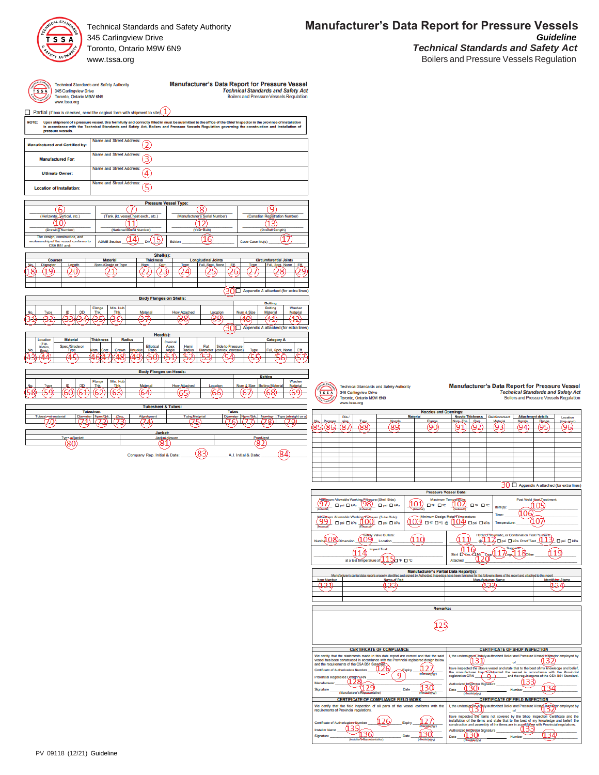

345 Carlingview Drive

**Technical Standards and Safety Authority** 1echnical Standards and St<br>345 Carlingview Drive<br>Toronto, Ontario M9W 6N9<br>www.tssa.org

| <b>Manufacturer's Data Report for Pressure Vessel</b> |
|-------------------------------------------------------|
| <b>Technical Standards and Safety Act</b>             |
| <b>Boilers and Pressure Vessels Regulation</b>        |

Partial (If box is checked, send the original form with shipment to site) $\bigcirc$ 

| <b>NOTE:</b><br>Upon shipment of a pressure vessel, this form fully and correctly filled in must be submitted to the office of the Chief Inspector in the province of installation<br>in accordance with the Technical Standards and Safety Act, Boilers and Pressure Vessels Regulation governing the construction and installation of<br>pressure vessels. |                                        |                                |                                 |                                                                |                                   |                                                   |  |
|--------------------------------------------------------------------------------------------------------------------------------------------------------------------------------------------------------------------------------------------------------------------------------------------------------------------------------------------------------------|----------------------------------------|--------------------------------|---------------------------------|----------------------------------------------------------------|-----------------------------------|---------------------------------------------------|--|
| <b>Manufactured and Certified by:</b>                                                                                                                                                                                                                                                                                                                        | Name and Street Address:               |                                |                                 |                                                                |                                   |                                                   |  |
| Name and Street Address:<br>3<br><b>Manufactured For:</b>                                                                                                                                                                                                                                                                                                    |                                        |                                |                                 |                                                                |                                   |                                                   |  |
| Name and Street Address:<br>4<br><b>Ultimate Owner:</b>                                                                                                                                                                                                                                                                                                      |                                        |                                |                                 |                                                                |                                   |                                                   |  |
| Name and Street Address:<br>5<br><b>Location of Installation:</b>                                                                                                                                                                                                                                                                                            |                                        |                                |                                 |                                                                |                                   |                                                   |  |
|                                                                                                                                                                                                                                                                                                                                                              |                                        |                                | <b>Pressure Vessel Type:</b>    |                                                                |                                   |                                                   |  |
| 6                                                                                                                                                                                                                                                                                                                                                            |                                        |                                |                                 | 8                                                              |                                   | ٩                                                 |  |
| (Horizontal, yertical, etc.)                                                                                                                                                                                                                                                                                                                                 | (Tank, jkt. vessel, heat exch., etc.)  |                                |                                 | (Manufacturer's Serial Number)                                 |                                   | (Canadian Registration Number)                    |  |
|                                                                                                                                                                                                                                                                                                                                                              |                                        |                                |                                 |                                                                |                                   |                                                   |  |
| (Drawing Number)                                                                                                                                                                                                                                                                                                                                             | (National Board Number)                |                                |                                 | (Year Built)                                                   |                                   | (Overall Length)                                  |  |
| The design, construction, and<br>workmanship of the vessel conforms to<br>CSA B51 and:                                                                                                                                                                                                                                                                       | <b>ASME Section</b>                    | Div                            | Edition                         | 16                                                             | Code Case No(s)                   | 1.                                                |  |
|                                                                                                                                                                                                                                                                                                                                                              |                                        | Shell(s):                      |                                 |                                                                |                                   |                                                   |  |
| Courses                                                                                                                                                                                                                                                                                                                                                      | <b>Material</b><br>Spec./Grade or Type | <b>Thickness</b><br>Corr       |                                 | <b>Longitudinal Joints</b><br>Full, Spot, None<br>Eff          |                                   | <b>Circumferential Joints</b><br>Full, Spot, None |  |
| <b>Diameter</b><br>Length<br>o<br>20.                                                                                                                                                                                                                                                                                                                        |                                        | Nom                            | <b>I</b> you                    | 21                                                             | Type                              | Eff<br>8                                          |  |
|                                                                                                                                                                                                                                                                                                                                                              |                                        |                                |                                 |                                                                |                                   |                                                   |  |
|                                                                                                                                                                                                                                                                                                                                                              |                                        |                                |                                 | 30                                                             |                                   | Appendix A attached (for extra lines              |  |
|                                                                                                                                                                                                                                                                                                                                                              |                                        | <b>Body Flanges on Shells:</b> |                                 |                                                                |                                   |                                                   |  |
|                                                                                                                                                                                                                                                                                                                                                              |                                        |                                |                                 |                                                                |                                   |                                                   |  |
|                                                                                                                                                                                                                                                                                                                                                              |                                        |                                |                                 |                                                                |                                   | <b>Bolting</b>                                    |  |
| Type<br>ID<br>OD                                                                                                                                                                                                                                                                                                                                             | Min. Hub<br>Flange<br>Thk<br>Thk       | Material                       | <b>How Attached</b>             | Location                                                       | Num & Size                        | Bolting<br>Washer<br>Material<br>Material         |  |
|                                                                                                                                                                                                                                                                                                                                                              |                                        |                                |                                 | ٩٥                                                             |                                   | 41                                                |  |
|                                                                                                                                                                                                                                                                                                                                                              |                                        |                                |                                 | 30                                                             |                                   |                                                   |  |
|                                                                                                                                                                                                                                                                                                                                                              |                                        | Head(s):                       |                                 |                                                                |                                   |                                                   |  |
| <b>Material</b><br>Location<br>(Top.                                                                                                                                                                                                                                                                                                                         | <b>Thickness</b><br>Radius             |                                | Conical                         |                                                                |                                   | <b>Category A</b>                                 |  |
| Spec./Grade or<br>Bottom<br>No<br>Type<br>Ends)                                                                                                                                                                                                                                                                                                              | Corr.<br>Crown<br>Nom.                 | Elliptical<br>Knuckle<br>Ratio | Apex<br>Hemi<br>Angle<br>Radius | Flat<br><b>Side to Pressure</b><br>Diameter<br>convex, concave | <b>Type</b>                       | Full, Spot, None<br>Eff.                          |  |
| 45                                                                                                                                                                                                                                                                                                                                                           |                                        | ЛC<br>Æ<br>c                   | r-                              | /ΕS<br>'nг                                                     | ′⊏<br>г                           | Appendix A attached (for extra lines<br>5         |  |
|                                                                                                                                                                                                                                                                                                                                                              |                                        |                                |                                 |                                                                |                                   |                                                   |  |
|                                                                                                                                                                                                                                                                                                                                                              |                                        | <b>Body Flanges on Heads:</b>  |                                 |                                                                |                                   |                                                   |  |
|                                                                                                                                                                                                                                                                                                                                                              | Flange<br>Min. Hub                     |                                |                                 |                                                                | <b>Bolting</b>                    | Washer                                            |  |
| ID<br>OD<br>Type                                                                                                                                                                                                                                                                                                                                             | Thk<br><b>Thk</b>                      | Material                       | <b>How Attached</b>             | Location                                                       | Num & Size<br><b>Bolting Mate</b> | Material                                          |  |
|                                                                                                                                                                                                                                                                                                                                                              |                                        | 64                             |                                 | 66                                                             |                                   | ٠<br>ĥ                                            |  |
|                                                                                                                                                                                                                                                                                                                                                              |                                        |                                |                                 |                                                                |                                   |                                                   |  |
|                                                                                                                                                                                                                                                                                                                                                              | <b>Tubesheet</b>                       | <b>Tubesheet &amp; Tubes:</b>  |                                 | Tubes                                                          |                                   |                                                   |  |
| Tubes <sup>+</sup><br>et-material<br>D                                                                                                                                                                                                                                                                                                                       | Nper-Thk                               | Attackment                     | Tube Material                   | 76                                                             | Nom-Thk<br>Nu                     | jetraight or u<br>Type<br>Ο                       |  |
|                                                                                                                                                                                                                                                                                                                                                              |                                        |                                |                                 |                                                                |                                   |                                                   |  |
| <b>Typ-codjacket</b>                                                                                                                                                                                                                                                                                                                                         |                                        | Jacket:                        | Jacket.closure                  |                                                                |                                   |                                                   |  |
|                                                                                                                                                                                                                                                                                                                                                              |                                        |                                |                                 |                                                                |                                   |                                                   |  |

Technical Standards and Safety Authority Fechnical Standards and St<br>345 Carlingview Drive<br>Toronto, Ontario M9W 6N9<br>www.tssa.org  $\frac{1}{1}$ 

## Manufacturer's Data Report for Pressure Vessel<br>Technical Standards and Safety Act<br>Boilers and Pressure Vessels Regulation

| <b>Nozzles and Openings:</b> |      |      |                 |        |                         |     |               |                           |         |              |  |
|------------------------------|------|------|-----------------|--------|-------------------------|-----|---------------|---------------------------|---------|--------------|--|
|                              | Dia/ |      | <b>Material</b> |        | <b>Nozzle Thickness</b> |     | Reinforcement | <b>Attachment details</b> |         | Location     |  |
| No. Puppase                  | size | Type | Nozzie          | Flange | NomThk.                 | Com | Material      | Ngzzje                    | Flange  | (Insg. coen) |  |
| 85) (86                      |      | 88   | 89              | '90    |                         |     | 6Ω            | 'n                        | 'n<br>- | (96)         |  |
|                              |      |      |                 |        |                         |     | ⊃⊃            | ۔                         | ┘       |              |  |
|                              |      |      |                 |        |                         |     |               |                           |         |              |  |
|                              |      |      |                 |        |                         |     |               |                           |         |              |  |
|                              |      |      |                 |        |                         |     |               |                           |         |              |  |
|                              |      |      |                 |        |                         |     |               |                           |         |              |  |
|                              |      |      |                 |        |                         |     |               |                           |         |              |  |
|                              |      |      |                 |        |                         |     |               |                           |         |              |  |
|                              |      |      |                 |        |                         |     |               |                           |         |              |  |
|                              |      |      |                 |        |                         |     |               |                           |         |              |  |
|                              |      |      |                 |        |                         |     |               |                           |         |              |  |
|                              |      |      |                 |        |                         |     |               |                           |         |              |  |

30 0 Appendix A attached (for ext **Pressure Vessel Data** Post Weld Heat Tre vable Working Presqure (Shell Side):<br>si  $\Box$  kPa  $\frac{(\Box \boxtimes)}{(\Box \boxtimes)}$   $\Box$  psi  $\Box$  kPa Maxmum Allowable Workin<br>(97) □ psi □ kPa<br>mbanan 000 0 \* 0 ° 002 0 \* 0 ° <u>(106</u> Maximum Allowable Working Pressure (Tube Side):<br>(99) [Dipsi | DikPa | 100) [Dipsi | DikPa 103 D'F D'C @ 104 DPS DK (107) Hydps, Pfileymatic, or Combination Test Prussure<br>\_@(112) psi D kPa Proof Test (113) D psi D kPa Valve Outlet  $109$  $\Omega$  $408<sub>0</sub>$  $(10)$ Loca **Impact Test**  $\underbrace{110}_{\text{Skint Dve-0,15}}$  $.11$  $n_{\text{eq}}$  $(11)$  $n_{\text{eq}}$  $(14)$  $(19)$ 

| <b>Manufacturer's Partial Data Report(s):</b> |                                                                                                                                                                                   |                           |  |  |  |  |  |  |  |
|-----------------------------------------------|-----------------------------------------------------------------------------------------------------------------------------------------------------------------------------------|---------------------------|--|--|--|--|--|--|--|
|                                               | Manufacturer's partial data reports properly identified and signed by Authorized Inspectors have been furnished for the following items of the report and attached to this report |                           |  |  |  |  |  |  |  |
|                                               | Name-of Part                                                                                                                                                                      | <b>Manufacturecs Name</b> |  |  |  |  |  |  |  |
|                                               |                                                                                                                                                                                   |                           |  |  |  |  |  |  |  |
|                                               |                                                                                                                                                                                   |                           |  |  |  |  |  |  |  |
|                                               |                                                                                                                                                                                   |                           |  |  |  |  |  |  |  |
|                                               |                                                                                                                                                                                   |                           |  |  |  |  |  |  |  |

Remarks

 $(125)$ 

mature of  $\overbrace{15}$  of  $\overline{0}$  to  $\overline{0}$ 

 $\overline{atab}$ 

| <b>CERTIFICATE OF COMPLIANCE</b>                                                                                                                                                                                                                                                                                                                                                            | <b>CERTIFICATE OF SHOP INSPECTION</b>                                                                                                                                                                                                                                                                                                                                                                                       |
|---------------------------------------------------------------------------------------------------------------------------------------------------------------------------------------------------------------------------------------------------------------------------------------------------------------------------------------------------------------------------------------------|-----------------------------------------------------------------------------------------------------------------------------------------------------------------------------------------------------------------------------------------------------------------------------------------------------------------------------------------------------------------------------------------------------------------------------|
| We certify that the statements made in this data report are correct and that the said<br>ressel has been constructed in accordance with the Provincial registered design below<br>and the requirements of the CSA B51 Stapdard.<br>Certificate of Authorization Number<br>Expiry<br>Provincial Registered Design CRN<br>Manufacturer<br>Date<br>Signature<br>Manufacturer's Reseaserfative) | the undersigned, and ultraview authorized Boiler and Pressure Vessel-inspector employed by<br>have inspected the above vessel and state that to the best of my knowledge and belief.<br>the manufacturer has constructed the vessel in accordance with the Provincial<br>registration CRN<br>and the requirements of the CSA B51 Standard.<br>Authorized kispeelor Signature<br>Date<br>Number<br><b><i>INSTRUCTION</i></b> |
| <b>CERTIFICATE OF COMPLIANCE FIELD WORK</b>                                                                                                                                                                                                                                                                                                                                                 | <b>CERTIFICATE OF FIELD INSPECTION</b>                                                                                                                                                                                                                                                                                                                                                                                      |
| We certify that the field inspection of all parts of the vessel conforms with the<br>equirements of Provincial regulations.                                                                                                                                                                                                                                                                 | I, the undersigned a guly authorized Boiler and Pressure Vesses Incosetor employed by<br>have inspected the items not covered by the Shop Inspection Certificate and the                                                                                                                                                                                                                                                    |
| ъ<br>Certificate of Authorization-Number<br>Expiry<br><b>Salasiyl</b> in<br>nstaller Name<br>۹h<br>Date<br>Signature<br>(Installer®-Repetientative)                                                                                                                                                                                                                                         | installation of the items and state that to the best of my knowledge and belief, the<br>construction and assembly of the items are in accordance with Provincial regulations.<br>Authorized Institution Signature<br>Number<br>Date                                                                                                                                                                                         |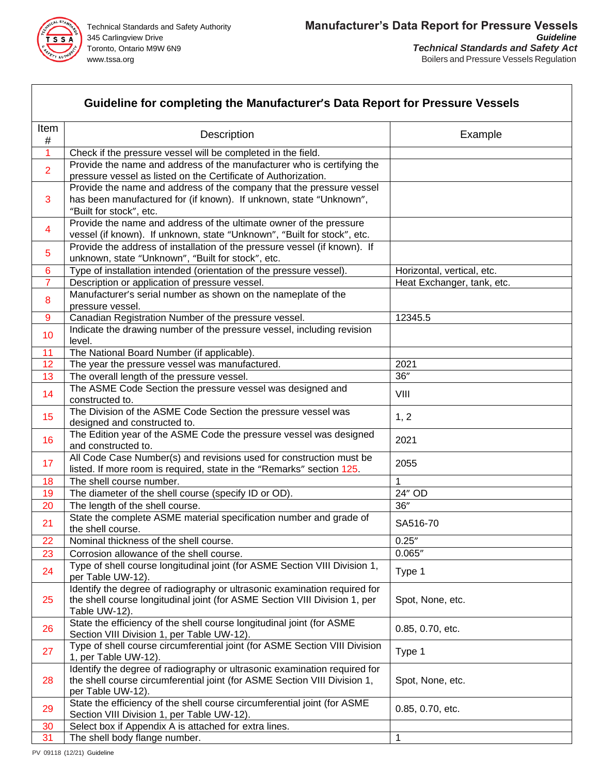

|                 | Guideline for completing the Manufacturer's Data Report for Pressure Vessels                                                   |                            |
|-----------------|--------------------------------------------------------------------------------------------------------------------------------|----------------------------|
| Item<br>$\#$    | Description                                                                                                                    | Example                    |
| $\overline{1}$  | Check if the pressure vessel will be completed in the field.                                                                   |                            |
|                 | Provide the name and address of the manufacturer who is certifying the                                                         |                            |
| $\overline{2}$  | pressure vessel as listed on the Certificate of Authorization.                                                                 |                            |
|                 | Provide the name and address of the company that the pressure vessel                                                           |                            |
| 3               | has been manufactured for (if known). If unknown, state "Unknown",                                                             |                            |
|                 | "Built for stock", etc.                                                                                                        |                            |
| 4               | Provide the name and address of the ultimate owner of the pressure                                                             |                            |
|                 | vessel (if known). If unknown, state "Unknown", "Built for stock", etc.                                                        |                            |
| 5               | Provide the address of installation of the pressure vessel (if known). If<br>unknown, state "Unknown", "Built for stock", etc. |                            |
| $6\phantom{1}6$ | Type of installation intended (orientation of the pressure vessel).                                                            | Horizontal, vertical, etc. |
| $\overline{7}$  | Description or application of pressure vessel.                                                                                 | Heat Exchanger, tank, etc. |
|                 | Manufacturer's serial number as shown on the nameplate of the                                                                  |                            |
| 8               | pressure vessel.                                                                                                               |                            |
| 9               | Canadian Registration Number of the pressure vessel.                                                                           | 12345.5                    |
| 10              | Indicate the drawing number of the pressure vessel, including revision                                                         |                            |
|                 | level.                                                                                                                         |                            |
| 11              | The National Board Number (if applicable).                                                                                     |                            |
| 12              | The year the pressure vessel was manufactured.                                                                                 | 2021<br>36''               |
| 13              | The overall length of the pressure vessel.<br>The ASME Code Section the pressure vessel was designed and                       |                            |
| 14              | constructed to.                                                                                                                | VIII                       |
|                 | The Division of the ASME Code Section the pressure vessel was                                                                  |                            |
| 15              | designed and constructed to.                                                                                                   | 1, 2                       |
| 16              | The Edition year of the ASME Code the pressure vessel was designed                                                             | 2021                       |
|                 | and constructed to.                                                                                                            |                            |
| 17              | All Code Case Number(s) and revisions used for construction must be                                                            | 2055                       |
|                 | listed. If more room is required, state in the "Remarks" section 125.                                                          |                            |
| 18<br>19        | The shell course number.<br>The diameter of the shell course (specify ID or OD).                                               | 24" OD                     |
| 20              | The length of the shell course.                                                                                                | 36"                        |
|                 | State the complete ASME material specification number and grade of                                                             |                            |
| 21              | the shell course.                                                                                                              | SA516-70                   |
| 22              | Nominal thickness of the shell course.                                                                                         | 0.25''                     |
| 23              | Corrosion allowance of the shell course.                                                                                       | 0.065"                     |
| 24              | Type of shell course longitudinal joint (for ASME Section VIII Division 1,                                                     | Type 1                     |
|                 | per Table UW-12).                                                                                                              |                            |
|                 | Identify the degree of radiography or ultrasonic examination required for                                                      |                            |
| 25              | the shell course longitudinal joint (for ASME Section VIII Division 1, per                                                     | Spot, None, etc.           |
|                 | Table UW-12).<br>State the efficiency of the shell course longitudinal joint (for ASME                                         |                            |
| 26              | Section VIII Division 1, per Table UW-12).                                                                                     | 0.85, 0.70, etc.           |
|                 | Type of shell course circumferential joint (for ASME Section VIII Division                                                     |                            |
| 27              | 1, per Table UW-12).                                                                                                           | Type 1                     |
|                 | Identify the degree of radiography or ultrasonic examination required for                                                      |                            |
| 28              | the shell course circumferential joint (for ASME Section VIII Division 1,                                                      | Spot, None, etc.           |
|                 | per Table UW-12).                                                                                                              |                            |
| 29              | State the efficiency of the shell course circumferential joint (for ASME                                                       | 0.85, 0.70, etc.           |
| 30              | Section VIII Division 1, per Table UW-12).<br>Select box if Appendix A is attached for extra lines.                            |                            |
| 31              | The shell body flange number.                                                                                                  | 1                          |
|                 |                                                                                                                                |                            |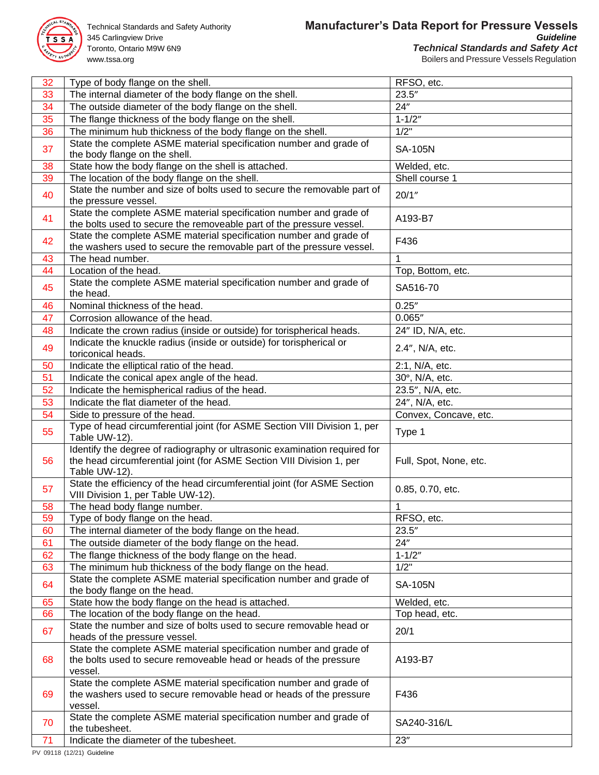

345 Carlingview Drive www.tssa.org **Boilers and Pressure Vessels Regulation** 

| 32 | Type of body flange on the shell.                                                                              | RFSO, etc.             |
|----|----------------------------------------------------------------------------------------------------------------|------------------------|
| 33 | The internal diameter of the body flange on the shell.                                                         | 23.5''                 |
| 34 | The outside diameter of the body flange on the shell.                                                          | 24"                    |
| 35 | The flange thickness of the body flange on the shell.                                                          | $1 - 1/2"$             |
| 36 | The minimum hub thickness of the body flange on the shell.                                                     | 1/2"                   |
|    | State the complete ASME material specification number and grade of                                             |                        |
| 37 | the body flange on the shell.                                                                                  | <b>SA-105N</b>         |
| 38 | State how the body flange on the shell is attached.                                                            | Welded, etc.           |
| 39 | The location of the body flange on the shell.                                                                  | Shell course 1         |
| 40 | State the number and size of bolts used to secure the removable part of                                        | 20/1"                  |
|    | the pressure vessel.                                                                                           |                        |
| 41 | State the complete ASME material specification number and grade of                                             | A193-B7                |
|    | the bolts used to secure the removeable part of the pressure vessel.                                           |                        |
| 42 | State the complete ASME material specification number and grade of                                             | F436                   |
|    | the washers used to secure the removable part of the pressure vessel.                                          |                        |
| 43 | The head number.                                                                                               |                        |
| 44 | Location of the head.                                                                                          | Top, Bottom, etc.      |
| 45 | State the complete ASME material specification number and grade of<br>the head.                                | SA516-70               |
| 46 | Nominal thickness of the head.                                                                                 | 0.25''                 |
|    |                                                                                                                |                        |
| 47 | Corrosion allowance of the head.                                                                               | 0.065''                |
| 48 | Indicate the crown radius (inside or outside) for torispherical heads.                                         | 24" ID, N/A, etc.      |
| 49 | Indicate the knuckle radius (inside or outside) for torispherical or<br>toriconical heads.                     | 2.4", N/A, etc.        |
| 50 | Indicate the elliptical ratio of the head.                                                                     | 2:1, N/A, etc.         |
| 51 | Indicate the conical apex angle of the head.                                                                   | 30°, N/A, etc.         |
| 52 | Indicate the hemispherical radius of the head.                                                                 | 23.5", N/A, etc.       |
| 53 | Indicate the flat diameter of the head.                                                                        | 24", N/A, etc.         |
| 54 | Side to pressure of the head.                                                                                  | Convex, Concave, etc.  |
|    |                                                                                                                |                        |
|    |                                                                                                                |                        |
| 55 | Type of head circumferential joint (for ASME Section VIII Division 1, per<br>Table UW-12).                     | Type 1                 |
|    | Identify the degree of radiography or ultrasonic examination required for                                      |                        |
| 56 | the head circumferential joint (for ASME Section VIII Division 1, per                                          | Full, Spot, None, etc. |
|    | Table UW-12).                                                                                                  |                        |
| 57 | State the efficiency of the head circumferential joint (for ASME Section<br>VIII Division 1, per Table UW-12). | 0.85, 0.70, etc.       |
| 58 | The head body flange number.                                                                                   | 1                      |
| 59 | Type of body flange on the head.                                                                               | RFSO, etc.             |
| 60 | The internal diameter of the body flange on the head.                                                          | 23.5''                 |
| 61 | The outside diameter of the body flange on the head.                                                           | 24"                    |
| 62 | The flange thickness of the body flange on the head.                                                           | $1 - 1/2"$             |
| 63 | The minimum hub thickness of the body flange on the head.                                                      | 1/2"                   |
|    | State the complete ASME material specification number and grade of                                             |                        |
| 64 | the body flange on the head.                                                                                   | <b>SA-105N</b>         |
| 65 | State how the body flange on the head is attached.                                                             | Welded, etc.           |
| 66 | The location of the body flange on the head.                                                                   | Top head, etc.         |
| 67 | State the number and size of bolts used to secure removable head or                                            | 20/1                   |
|    | heads of the pressure vessel.                                                                                  |                        |
|    | State the complete ASME material specification number and grade of                                             |                        |
| 68 | the bolts used to secure removeable head or heads of the pressure                                              | A193-B7                |
|    | vessel.                                                                                                        |                        |
|    | State the complete ASME material specification number and grade of                                             |                        |
| 69 | the washers used to secure removable head or heads of the pressure                                             | F436                   |
|    | vessel.                                                                                                        |                        |
| 70 | State the complete ASME material specification number and grade of                                             | SA240-316/L            |
| 71 | the tubesheet.<br>Indicate the diameter of the tubesheet.                                                      | 23"                    |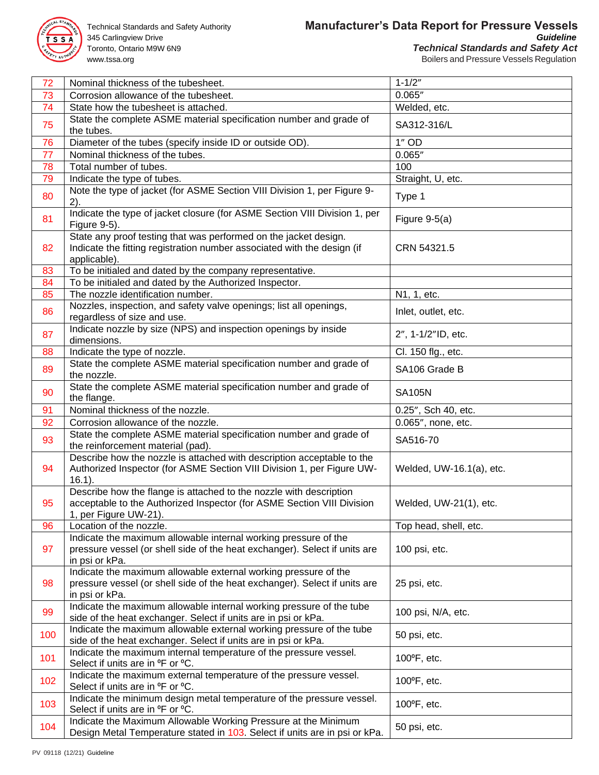

345 Carlingview Drive www.tssa.org **Boilers and Pressure Vessels Regulation** 

| 72  | Nominal thickness of the tubesheet.                                                                                                                                   | $1 - 1/2"$               |
|-----|-----------------------------------------------------------------------------------------------------------------------------------------------------------------------|--------------------------|
| 73  | Corrosion allowance of the tubesheet.                                                                                                                                 | 0.065"                   |
| 74  | State how the tubesheet is attached.                                                                                                                                  | Welded, etc.             |
| 75  | State the complete ASME material specification number and grade of<br>the tubes.                                                                                      | SA312-316/L              |
| 76  | Diameter of the tubes (specify inside ID or outside OD).                                                                                                              | $1"$ OD                  |
| 77  | Nominal thickness of the tubes.                                                                                                                                       | 0.065''                  |
| 78  | Total number of tubes.                                                                                                                                                | 100                      |
| 79  | Indicate the type of tubes.                                                                                                                                           | Straight, U, etc.        |
| 80  | Note the type of jacket (for ASME Section VIII Division 1, per Figure 9-<br>2).                                                                                       | Type 1                   |
| 81  | Indicate the type of jacket closure (for ASME Section VIII Division 1, per<br>Figure 9-5).                                                                            | Figure $9-5(a)$          |
| 82  | State any proof testing that was performed on the jacket design.<br>Indicate the fitting registration number associated with the design (if<br>applicable).           | CRN 54321.5              |
| 83  | To be initialed and dated by the company representative.                                                                                                              |                          |
| 84  | To be initialed and dated by the Authorized Inspector.                                                                                                                |                          |
| 85  | The nozzle identification number.                                                                                                                                     | N1, 1, etc.              |
| 86  | Nozzles, inspection, and safety valve openings; list all openings,<br>regardless of size and use.                                                                     | Inlet, outlet, etc.      |
| 87  | Indicate nozzle by size (NPS) and inspection openings by inside<br>dimensions.                                                                                        | 2", 1-1/2"ID, etc.       |
| 88  | Indicate the type of nozzle.                                                                                                                                          | Cl. 150 flg., etc.       |
| 89  | State the complete ASME material specification number and grade of<br>the nozzle.                                                                                     | SA106 Grade B            |
| 90  | State the complete ASME material specification number and grade of<br>the flange.                                                                                     | <b>SA105N</b>            |
| 91  | Nominal thickness of the nozzle.                                                                                                                                      | 0.25", Sch 40, etc.      |
| 92  | Corrosion allowance of the nozzle.                                                                                                                                    | 0.065", none, etc.       |
| 93  | State the complete ASME material specification number and grade of<br>the reinforcement material (pad).                                                               | SA516-70                 |
| 94  | Describe how the nozzle is attached with description acceptable to the<br>Authorized Inspector (for ASME Section VIII Division 1, per Figure UW-<br>$16.1$ ).         | Welded, UW-16.1(a), etc. |
| 95  | Describe how the flange is attached to the nozzle with description<br>acceptable to the Authorized Inspector (for ASME Section VIII Division<br>1, per Figure UW-21). | Welded, UW-21(1), etc.   |
| 96  | Location of the nozzle.                                                                                                                                               | Top head, shell, etc.    |
| 97  | Indicate the maximum allowable internal working pressure of the<br>pressure vessel (or shell side of the heat exchanger). Select if units are<br>in psi or kPa.       | 100 psi, etc.            |
| 98  | Indicate the maximum allowable external working pressure of the<br>pressure vessel (or shell side of the heat exchanger). Select if units are<br>in psi or kPa.       | 25 psi, etc.             |
| 99  | Indicate the maximum allowable internal working pressure of the tube<br>side of the heat exchanger. Select if units are in psi or kPa.                                | 100 psi, N/A, etc.       |
| 100 | Indicate the maximum allowable external working pressure of the tube<br>side of the heat exchanger. Select if units are in psi or kPa.                                | 50 psi, etc.             |
| 101 | Indicate the maximum internal temperature of the pressure vessel.<br>Select if units are in <sup>o</sup> F or <sup>o</sup> C.                                         | 100°F, etc.              |
| 102 | Indicate the maximum external temperature of the pressure vessel.<br>Select if units are in <sup>o</sup> F or <sup>o</sup> C.                                         | 100°F, etc.              |
| 103 | Indicate the minimum design metal temperature of the pressure vessel.<br>Select if units are in <sup>o</sup> F or <sup>o</sup> C.                                     | 100°F, etc.              |
| 104 | Indicate the Maximum Allowable Working Pressure at the Minimum<br>Design Metal Temperature stated in 103. Select if units are in psi or kPa.                          | 50 psi, etc.             |